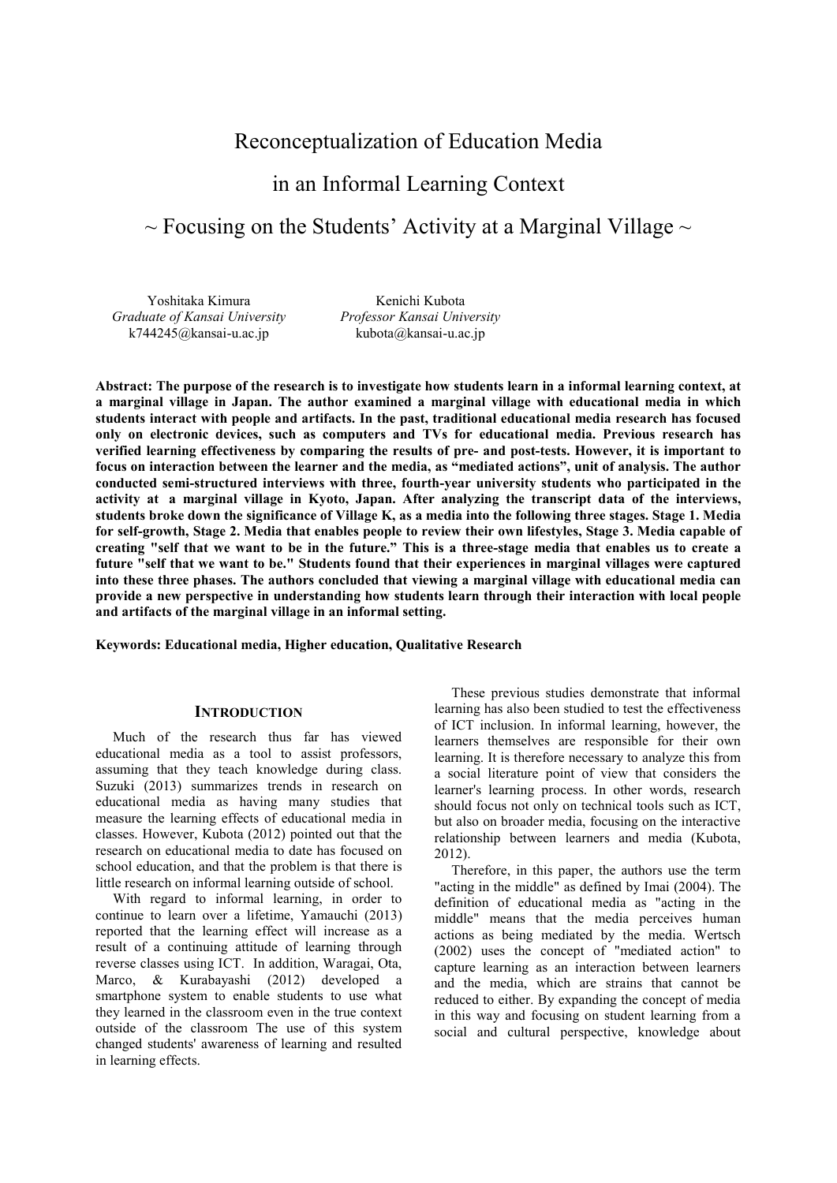## Reconceptualization of Education Media

# in an Informal Learning Context

# $\sim$  Focusing on the Students' Activity at a Marginal Village  $\sim$

Yoshitaka Kimura *Graduate of Kansai University* k744245@kansai-u.ac.jp

Kenichi Kubota *Professor Kansai University* kubota@kansai-u.ac.jp

**Abstract: The purpose of the research is to investigate how students learn in a informal learning context, at a marginal village in Japan. The author examined a marginal village with educational media in which students interact with people and artifacts. In the past, traditional educational media research has focused only on electronic devices, such as computers and TVs for educational media. Previous research has verified learning effectiveness by comparing the results of pre- and post-tests. However, it is important to focus on interaction between the learner and the media, as "mediated actions", unit of analysis. The author conducted semi-structured interviews with three, fourth-year university students who participated in the activity at a marginal village in Kyoto, Japan. After analyzing the transcript data of the interviews, students broke down the significance of Village K, as a media into the following three stages. Stage 1. Media for self-growth, Stage 2. Media that enables people to review their own lifestyles, Stage 3. Media capable of creating "self that we want to be in the future." This is a three-stage media that enables us to create a future "self that we want to be." Students found that their experiences in marginal villages were captured into these three phases. The authors concluded that viewing a marginal village with educational media can provide a new perspective in understanding how students learn through their interaction with local people and artifacts of the marginal village in an informal setting.** 

**Keywords: Educational media, Higher education, Qualitative Research** 

#### **INTRODUCTION**

Much of the research thus far has viewed educational media as a tool to assist professors, assuming that they teach knowledge during class. Suzuki (2013) summarizes trends in research on educational media as having many studies that measure the learning effects of educational media in classes. However, Kubota (2012) pointed out that the research on educational media to date has focused on school education, and that the problem is that there is little research on informal learning outside of school.

With regard to informal learning, in order to continue to learn over a lifetime, Yamauchi (2013) reported that the learning effect will increase as a result of a continuing attitude of learning through reverse classes using ICT. In addition, Waragai, Ota, Marco, & Kurabayashi (2012) developed a smartphone system to enable students to use what they learned in the classroom even in the true context outside of the classroom The use of this system changed students' awareness of learning and resulted in learning effects.

These previous studies demonstrate that informal learning has also been studied to test the effectiveness of ICT inclusion. In informal learning, however, the learners themselves are responsible for their own learning. It is therefore necessary to analyze this from a social literature point of view that considers the learner's learning process. In other words, research should focus not only on technical tools such as ICT, but also on broader media, focusing on the interactive relationship between learners and media (Kubota, 2012).

Therefore, in this paper, the authors use the term "acting in the middle" as defined by Imai (2004). The definition of educational media as "acting in the middle" means that the media perceives human actions as being mediated by the media. Wertsch (2002) uses the concept of "mediated action" to capture learning as an interaction between learners and the media, which are strains that cannot be reduced to either. By expanding the concept of media in this way and focusing on student learning from a social and cultural perspective, knowledge about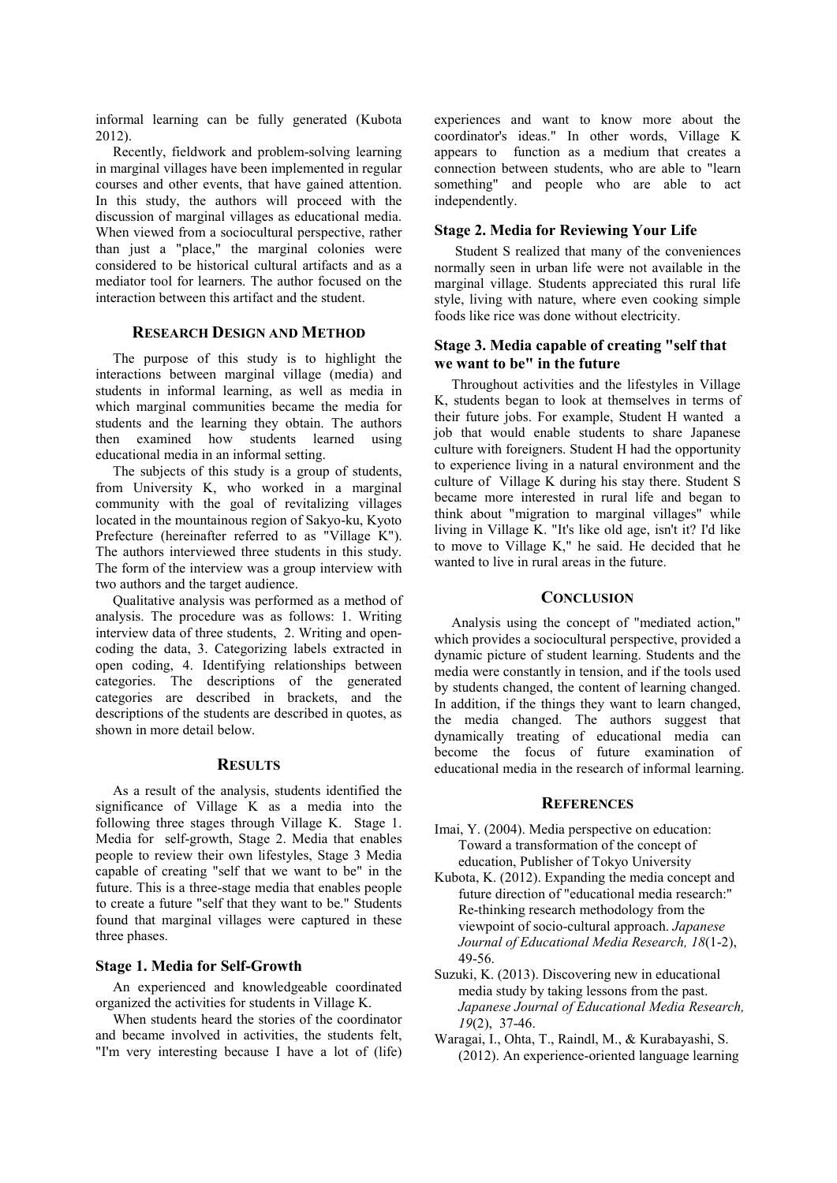informal learning can be fully generated (Kubota 2012).

Recently, fieldwork and problem-solving learning in marginal villages have been implemented in regular courses and other events, that have gained attention. In this study, the authors will proceed with the discussion of marginal villages as educational media. When viewed from a sociocultural perspective, rather than just a "place," the marginal colonies were considered to be historical cultural artifacts and as a mediator tool for learners. The author focused on the interaction between this artifact and the student.

### **RESEARCH DESIGN AND METHOD**

The purpose of this study is to highlight the interactions between marginal village (media) and students in informal learning, as well as media in which marginal communities became the media for students and the learning they obtain. The authors then examined how students learned using educational media in an informal setting.

The subjects of this study is a group of students, from University K, who worked in a marginal community with the goal of revitalizing villages located in the mountainous region of Sakyo-ku, Kyoto Prefecture (hereinafter referred to as "Village K"). The authors interviewed three students in this study. The form of the interview was a group interview with two authors and the target audience.

Qualitative analysis was performed as a method of analysis. The procedure was as follows: 1. Writing interview data of three students, 2. Writing and opencoding the data, 3. Categorizing labels extracted in open coding, 4. Identifying relationships between categories. The descriptions of the generated categories are described in brackets, and the descriptions of the students are described in quotes, as shown in more detail below.

#### **RESULTS**

As a result of the analysis, students identified the significance of Village K as a media into the following three stages through Village K. Stage 1. Media for self-growth, Stage 2. Media that enables people to review their own lifestyles, Stage 3 Media capable of creating "self that we want to be" in the future. This is a three-stage media that enables people to create a future "self that they want to be." Students found that marginal villages were captured in these three phases.

### **Stage 1. Media for Self-Growth**

An experienced and knowledgeable coordinated organized the activities for students in Village K.

When students heard the stories of the coordinator and became involved in activities, the students felt, "I'm very interesting because I have a lot of (life)

experiences and want to know more about the coordinator's ideas." In other words, Village K appears to function as a medium that creates a connection between students, who are able to "learn something" and people who are able to act independently.

### **Stage 2. Media for Reviewing Your Life**

 Student S realized that many of the conveniences normally seen in urban life were not available in the marginal village. Students appreciated this rural life style, living with nature, where even cooking simple foods like rice was done without electricity.

#### **Stage 3. Media capable of creating "self that we want to be" in the future**

Throughout activities and the lifestyles in Village K, students began to look at themselves in terms of their future jobs. For example, Student H wanted a job that would enable students to share Japanese culture with foreigners. Student H had the opportunity to experience living in a natural environment and the culture of Village K during his stay there. Student S became more interested in rural life and began to think about "migration to marginal villages" while living in Village K. "It's like old age, isn't it? I'd like to move to Village K," he said. He decided that he wanted to live in rural areas in the future.

### **CONCLUSION**

Analysis using the concept of "mediated action," which provides a sociocultural perspective, provided a dynamic picture of student learning. Students and the media were constantly in tension, and if the tools used by students changed, the content of learning changed. In addition, if the things they want to learn changed, the media changed. The authors suggest that dynamically treating of educational media can become the focus of future examination of educational media in the research of informal learning.

#### **REFERENCES**

- Imai, Y. (2004). Media perspective on education: Toward a transformation of the concept of education, Publisher of Tokyo University
- Kubota, K. (2012). Expanding the media concept and future direction of "educational media research:" Re-thinking research methodology from the viewpoint of socio-cultural approach. *Japanese Journal of Educational Media Research, 18*(1-2), 49-56.
- Suzuki, K. (2013). Discovering new in educational media study by taking lessons from the past. *Japanese Journal of Educational Media Research, 19*(2), 37-46.
- Waragai, I., Ohta, T., Raindl, M., & Kurabayashi, S. (2012). An experience-oriented language learning